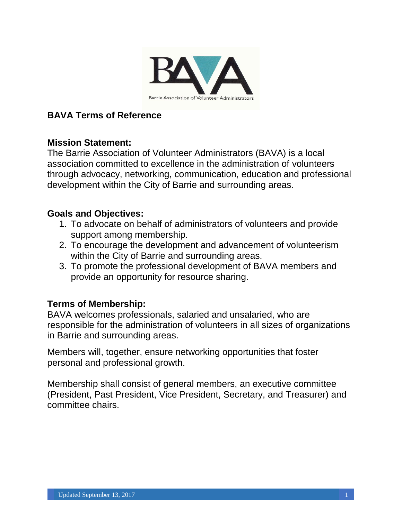

# **BAVA Terms of Reference**

## **Mission Statement:**

The Barrie Association of Volunteer Administrators (BAVA) is a local association committed to excellence in the administration of volunteers through advocacy, networking, communication, education and professional development within the City of Barrie and surrounding areas.

## **Goals and Objectives:**

- 1. To advocate on behalf of administrators of volunteers and provide support among membership.
- 2. To encourage the development and advancement of volunteerism within the City of Barrie and surrounding areas.
- 3. To promote the professional development of BAVA members and provide an opportunity for resource sharing.

## **Terms of Membership:**

BAVA welcomes professionals, salaried and unsalaried, who are responsible for the administration of volunteers in all sizes of organizations in Barrie and surrounding areas.

Members will, together, ensure networking opportunities that foster personal and professional growth.

Membership shall consist of general members, an executive committee (President, Past President, Vice President, Secretary, and Treasurer) and committee chairs.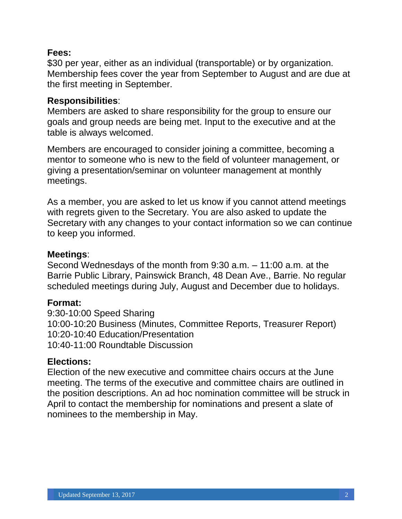## **Fees:**

\$30 per year, either as an individual (transportable) or by organization. Membership fees cover the year from September to August and are due at the first meeting in September.

## **Responsibilities**:

Members are asked to share responsibility for the group to ensure our goals and group needs are being met. Input to the executive and at the table is always welcomed.

Members are encouraged to consider joining a committee, becoming a mentor to someone who is new to the field of volunteer management, or giving a presentation/seminar on volunteer management at monthly meetings.

As a member, you are asked to let us know if you cannot attend meetings with regrets given to the Secretary. You are also asked to update the Secretary with any changes to your contact information so we can continue to keep you informed.

#### **Meetings**:

Second Wednesdays of the month from 9:30 a.m. – 11:00 a.m. at the Barrie Public Library, Painswick Branch, 48 Dean Ave., Barrie. No regular scheduled meetings during July, August and December due to holidays.

## **Format:**

9:30-10:00 Speed Sharing 10:00-10:20 Business (Minutes, Committee Reports, Treasurer Report) 10:20-10:40 Education/Presentation 10:40-11:00 Roundtable Discussion

## **Elections:**

Election of the new executive and committee chairs occurs at the June meeting. The terms of the executive and committee chairs are outlined in the position descriptions. An ad hoc nomination committee will be struck in April to contact the membership for nominations and present a slate of nominees to the membership in May.